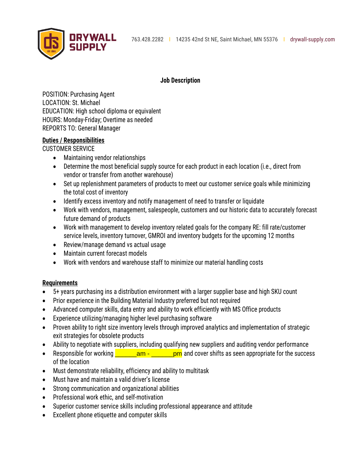

### **Job Description**

POSITION: Purchasing Agent LOCATION: St. Michael EDUCATION: High school diploma or equivalent HOURS: Monday-Friday; Overtime as needed REPORTS TO: General Manager

# **Duties / Responsibilities**

CUSTOMER SERVICE

- Maintaining vendor relationships
- Determine the most beneficial supply source for each product in each location (i.e., direct from vendor or transfer from another warehouse)
- Set up replenishment parameters of products to meet our customer service goals while minimizing the total cost of inventory
- Identify excess inventory and notify management of need to transfer or liquidate
- Work with vendors, management, salespeople, customers and our historic data to accurately forecast future demand of products
- Work with management to develop inventory related goals for the company RE: fill rate/customer service levels, inventory turnover, GMROI and inventory budgets for the upcoming 12 months
- Review/manage demand vs actual usage
- Maintain current forecast models
- Work with vendors and warehouse staff to minimize our material handling costs

# **Requirements**

- 5+ years purchasing ins a distribution environment with a larger supplier base and high SKU count
- Prior experience in the Building Material Industry preferred but not required
- Advanced computer skills, data entry and ability to work efficiently with MS Office products
- Experience utilizing/managing higher level purchasing software
- Proven ability to right size inventory levels through improved analytics and implementation of strategic exit strategies for obsolete products
- Ability to negotiate with suppliers, including qualifying new suppliers and auditing vendor performance
- Responsible for working  $\frac{1}{2}$  am  $\frac{1}{2}$  pm and cover shifts as seen appropriate for the success of the location
- Must demonstrate reliability, efficiency and ability to multitask
- Must have and maintain a valid driver's license
- Strong communication and organizational abilities
- Professional work ethic, and self-motivation
- Superior customer service skills including professional appearance and attitude
- Excellent phone etiquette and computer skills